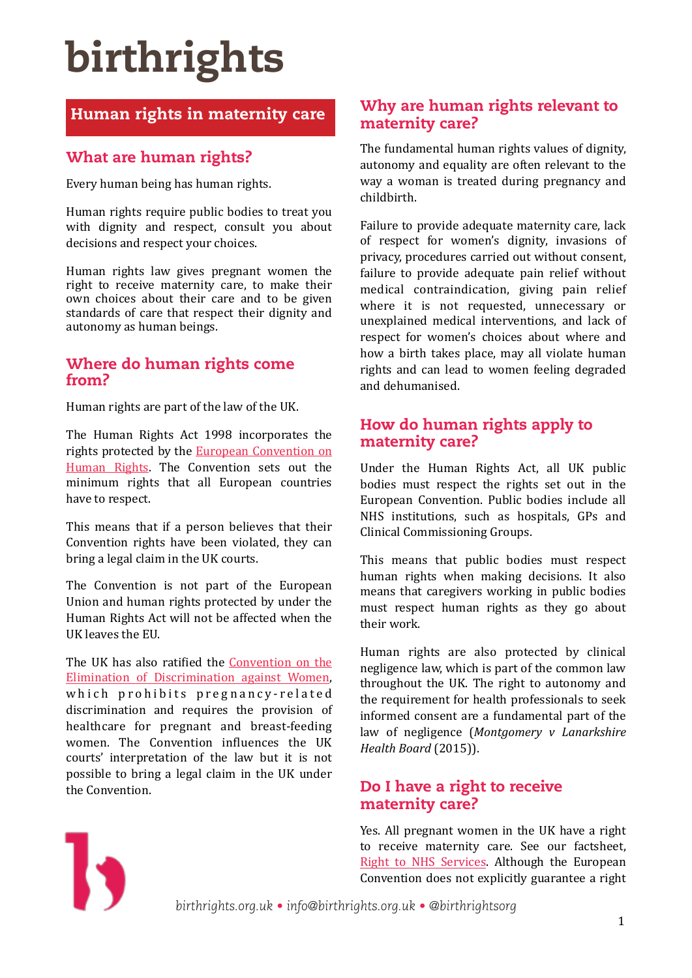# birthrights

# Human rights in maternity care

## What are human rights?

Every human being has human rights.

Human rights require public bodies to treat you with dignity and respect, consult you about decisions and respect your choices.

Human rights law gives pregnant women the right to receive maternity care, to make their own choices about their care and to be given standards of care that respect their dignity and autonomy as human beings.

### Where do human rights come from?

Human rights are part of the law of the UK.

The Human Rights Act 1998 incorporates the rights protected by the **European Convention** on Human Rights. The Convention sets out the minimum rights that all European countries have to respect.

This means that if a person believes that their Convention rights have been violated, they can bring a legal claim in the UK courts.

The Convention is not part of the European Union and human rights protected by under the Human Rights Act will not be affected when the UK leaves the EU.

The UK has also ratified the Convention on the Elimination of Discrimination against Women, which prohibits pregnancy-related discrimination and requires the provision of healthcare for pregnant and breast-feeding women. The Convention influences the UK courts' interpretation of the law but it is not possible to bring a legal claim in the UK under the Convention.

### Why are human rights relevant to maternity care?

The fundamental human rights values of dignity, autonomy and equality are often relevant to the way a woman is treated during pregnancy and childbirth. 

Failure to provide adequate maternity care, lack of respect for women's dignity, invasions of privacy, procedures carried out without consent, failure to provide adequate pain relief without medical contraindication, giving pain relief where it is not requested, unnecessary or unexplained medical interventions, and lack of respect for women's choices about where and how a birth takes place, may all violate human rights and can lead to women feeling degraded and dehumanised. 

### How do human rights apply to maternity care?

Under the Human Rights Act, all UK public bodies must respect the rights set out in the European Convention. Public bodies include all NHS institutions, such as hospitals, GPs and Clinical Commissioning Groups. 

This means that public bodies must respect human rights when making decisions. It also means that caregivers working in public bodies must respect human rights as they go about their work

Human rights are also protected by clinical negligence law, which is part of the common law throughout the UK. The right to autonomy and the requirement for health professionals to seek informed consent are a fundamental part of the law of negligence (*Montgomery v Lanarkshire Health Board* (2015)).

### Do I have a right to receive maternity care?

Yes. All pregnant women in the UK have a right to receive maternity care. See our factsheet, Right to NHS Services. Although the European Convention does not explicitly guarantee a right



*birthrights.org.uk • info@birthrights.org.uk • @birthrightsorg*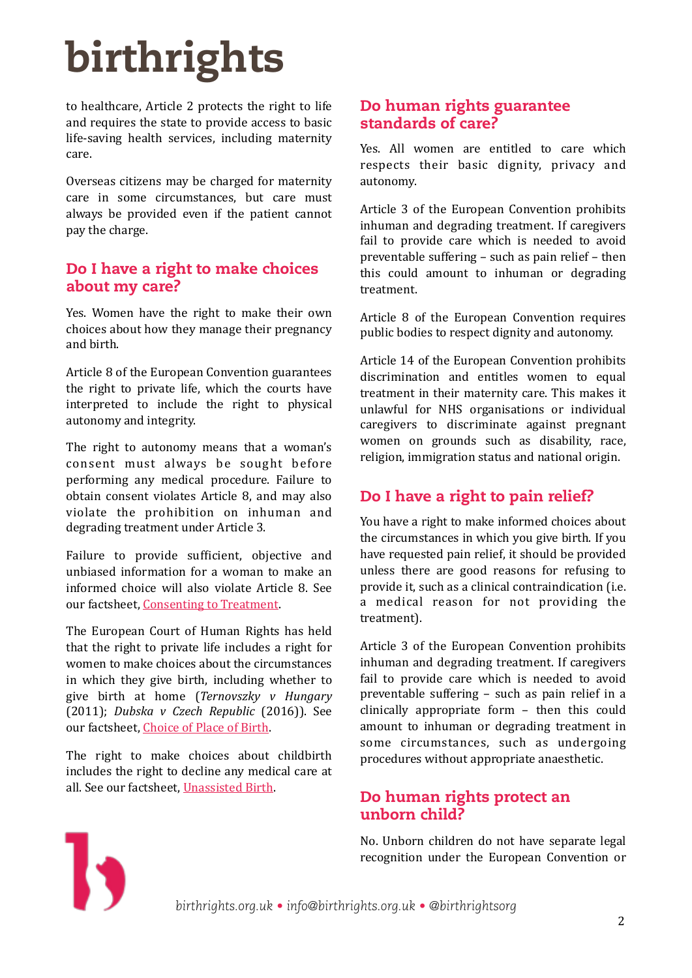# birthrights

to healthcare, Article 2 protects the right to life and requires the state to provide access to basic life-saving health services, including maternity care. 

Overseas citizens may be charged for maternity care in some circumstances, but care must always be provided even if the patient cannot pay the charge.

### Do I have a right to make choices about my care?

Yes. Women have the right to make their own choices about how they manage their pregnancy and birth. 

Article 8 of the European Convention guarantees the right to private life, which the courts have interpreted to include the right to physical autonomy and integrity.

The right to autonomy means that a woman's consent must always be sought before performing any medical procedure. Failure to obtain consent violates Article 8, and may also violate the prohibition on inhuman and degrading treatment under Article 3.

Failure to provide sufficient, objective and unbiased information for a woman to make an informed choice will also violate Article 8. See our factsheet, Consenting to Treatment.

The European Court of Human Rights has held that the right to private life includes a right for women to make choices about the circumstances in which they give birth, including whether to give birth at home (*Ternovszky v Hungary* (2011); *Dubska v Czech Republic* (2016)). See our factsheet, Choice of Place of Birth.

The right to make choices about childbirth includes the right to decline any medical care at all. See our factsheet, Unassisted Birth.

## Do human rights guarantee standards of care?

Yes. All women are entitled to care which respects their basic dignity, privacy and autonomy. 

Article 3 of the European Convention prohibits inhuman and degrading treatment. If caregivers fail to provide care which is needed to avoid preventable suffering  $-$  such as pain relief  $-$  then this could amount to inhuman or degrading treatment. 

Article 8 of the European Convention requires public bodies to respect dignity and autonomy.

Article 14 of the European Convention prohibits discrimination and entitles women to equal treatment in their maternity care. This makes it unlawful for NHS organisations or individual caregivers to discriminate against pregnant women on grounds such as disability, race, religion, immigration status and national origin.

# Do I have a right to pain relief?

You have a right to make informed choices about the circumstances in which you give birth. If you have requested pain relief, it should be provided unless there are good reasons for refusing to provide it, such as a clinical contraindication (i.e. a medical reason for not providing the treatment). 

Article 3 of the European Convention prohibits inhuman and degrading treatment. If caregivers fail to provide care which is needed to avoid preventable suffering  $-$  such as pain relief in a clinically appropriate form - then this could amount to inhuman or degrading treatment in some circumstances, such as undergoing procedures without appropriate anaesthetic.

## Do human rights protect an unborn child?

No. Unborn children do not have separate legal recognition under the European Convention or